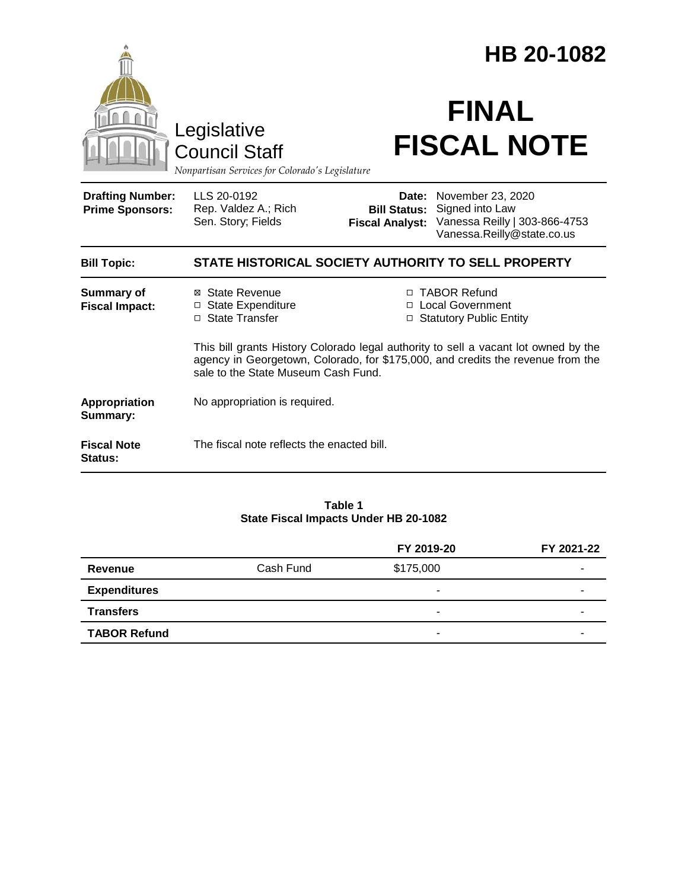|                                                   |                                                                                        |                                               | HB 20-1082                                                                                                                                                             |  |
|---------------------------------------------------|----------------------------------------------------------------------------------------|-----------------------------------------------|------------------------------------------------------------------------------------------------------------------------------------------------------------------------|--|
|                                                   | Legislative<br><b>Council Staff</b><br>Nonpartisan Services for Colorado's Legislature |                                               | <b>FINAL</b><br><b>FISCAL NOTE</b>                                                                                                                                     |  |
| <b>Drafting Number:</b><br><b>Prime Sponsors:</b> | LLS 20-0192<br>Rep. Valdez A.; Rich<br>Sen. Story; Fields                              | <b>Bill Status:</b><br><b>Fiscal Analyst:</b> | Date: November 23, 2020<br>Signed into Law<br>Vanessa Reilly   303-866-4753<br>Vanessa.Reilly@state.co.us                                                              |  |
| <b>Bill Topic:</b>                                | STATE HISTORICAL SOCIETY AUTHORITY TO SELL PROPERTY                                    |                                               |                                                                                                                                                                        |  |
| <b>Summary of</b><br><b>Fiscal Impact:</b>        | ⊠ State Revenue<br>□ State Expenditure<br>□ State Transfer                             |                                               | □ TABOR Refund<br>□ Local Government<br><b>Statutory Public Entity</b>                                                                                                 |  |
|                                                   | sale to the State Museum Cash Fund.                                                    |                                               | This bill grants History Colorado legal authority to sell a vacant lot owned by the<br>agency in Georgetown, Colorado, for \$175,000, and credits the revenue from the |  |
| Appropriation<br><b>Summary:</b>                  | No appropriation is required.                                                          |                                               |                                                                                                                                                                        |  |
| <b>Fiscal Note</b><br>Status:                     | The fiscal note reflects the enacted bill.                                             |                                               |                                                                                                                                                                        |  |

#### **Table 1 State Fiscal Impacts Under HB 20-1082**

|                     |           | FY 2019-20               | FY 2021-22 |
|---------------------|-----------|--------------------------|------------|
| Revenue             | Cash Fund | \$175,000                | -          |
| <b>Expenditures</b> |           |                          | -          |
| <b>Transfers</b>    |           |                          | -          |
| <b>TABOR Refund</b> |           | $\overline{\phantom{0}}$ | -          |